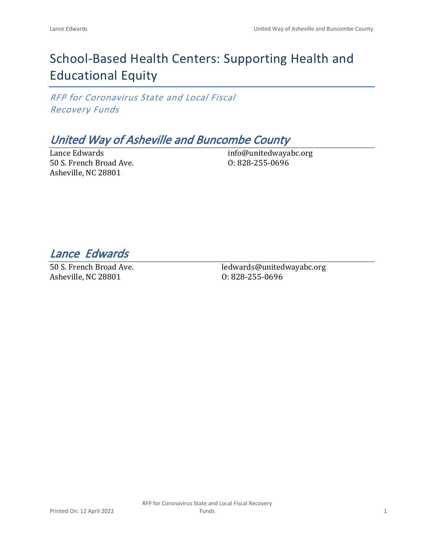# School-Based Health Centers: Supporting Health and Educational Equity

*RFP for Coronavirus State and Local Fiscal Recovery Funds*

## *United Way of Asheville and Buncombe County*

Lance Edwards 50 S. French Broad Ave. Asheville, NC 28801

info@unitedwayabc.org O: 828-255-0696

*Lance Edwards* 

50 S. French Broad Ave. Asheville, NC 28801

ledwards@unitedwayabc.org O: 828-255-0696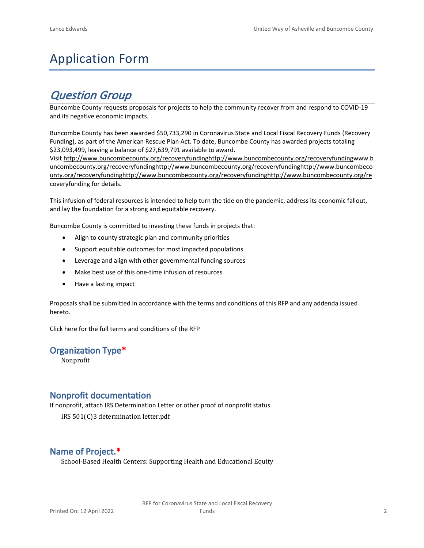# Application Form

## *Question Group*

Buncombe County requests proposals for projects to help the community recover from and respond to COVID-19 and its negative economic impacts.

Buncombe County has been awarded \$50,733,290 in Coronavirus State and Local Fiscal Recovery Funds (Recovery Funding), as part of the American Rescue Plan Act. To date, Buncombe County has awarded projects totaling \$23,093,499, leaving a balance of \$27,639,791 available to award.

Visit [http://www.buncombecounty.org/recoveryfundinghttp://www.buncombecounty.org/recoveryfundingwww.b](http://www.buncombecounty.org/recoveryfunding) [uncombecounty.org/recoveryfundinghttp://www.buncombecounty.org/recoveryfundinghttp://www.buncombeco](http://www.buncombecounty.org/recoveryfunding) [unty.org/recoveryfundinghttp://www.buncombecounty.org/recoveryfundinghttp://www.buncombecounty.org/re](http://www.buncombecounty.org/recoveryfunding) [coveryfunding](http://www.buncombecounty.org/recoveryfunding) for details.

This infusion of federal resources is intended to help turn the tide on the pandemic, address its economic fallout, and lay the foundation for a strong and equitable recovery.

Buncombe County is committed to investing these funds in projects that:

- Align to county strategic plan and community priorities
- Support equitable outcomes for most impacted populations
- Leverage and align with other governmental funding sources
- Make best use of this one-time infusion of resources
- Have a lasting impact

Proposals shall be submitted in accordance with the terms and conditions of this RFP and any addenda issued hereto.

Click [here](https://www.buncombecounty.org/common/purchasing/Buncombe%20Recovery%20Funding%20RFP%202022.pdf) for the full terms and conditions of the RFP

### **Organization Type\***

Nonprofit

### **Nonprofit documentation**

If nonprofit, attach IRS Determination Letter or other proof of nonprofit status.

IRS 501(C)3 determination letter.pdf

## **Name of Project.\***

School-Based Health Centers: Supporting Health and Educational Equity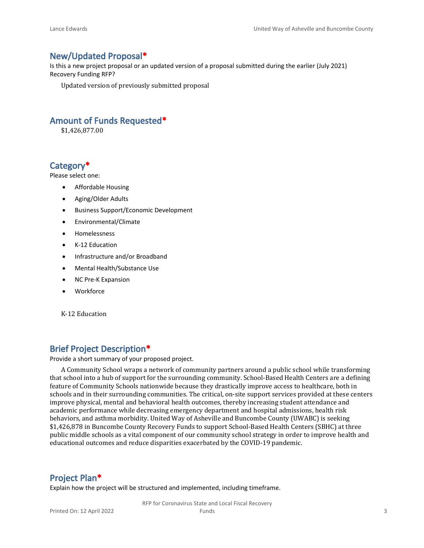#### **New/Updated Proposal\***

Is this a new project proposal or an updated version of a proposal submitted during the earlier (July 2021) Recovery Funding RFP?

Updated version of previously submitted proposal

### **Amount of Funds Requested\***

\$1,426,877.00

### **Category\***

Please select one:

- Affordable Housing
- Aging/Older Adults
- Business Support/Economic Development
- Environmental/Climate
- Homelessness
- K-12 Education
- Infrastructure and/or Broadband
- Mental Health/Substance Use
- NC Pre-K Expansion
- Workforce

K-12 Education

## **Brief Project Description\***

Provide a short summary of your proposed project.

A Community School wraps a network of community partners around a public school while transforming that school into a hub of support for the surrounding community. School-Based Health Centers are a defining feature of Community Schools nationwide because they drastically improve access to healthcare, both in schools and in their surrounding communities. The critical, on-site support services provided at these centers improve physical, mental and behavioral health outcomes, thereby increasing student attendance and academic performance while decreasing emergency department and hospital admissions, health risk behaviors, and asthma morbidity. United Way of Asheville and Buncombe County (UWABC) is seeking \$1,426,878 in Buncombe County Recovery Funds to support School-Based Health Centers (SBHC) at three public middle schools as a vital component of our community school strategy in order to improve health and educational outcomes and reduce disparities exacerbated by the COVID-19 pandemic.

### **Project Plan\***

Explain how the project will be structured and implemented, including timeframe.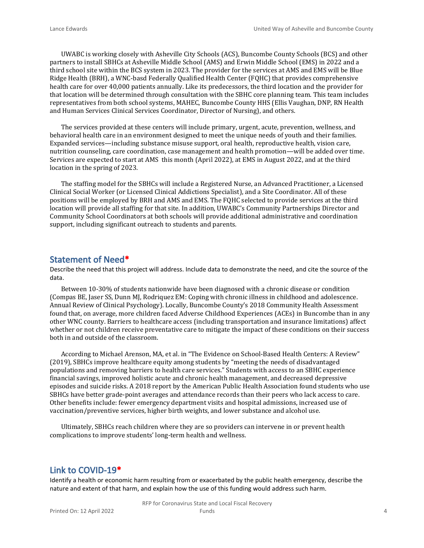UWABC is working closely with Asheville City Schools (ACS), Buncombe County Schools (BCS) and other partners to install SBHCs at Asheville Middle School (AMS) and Erwin Middle School (EMS) in 2022 and a third school site within the BCS system in 2023. The provider for the services at AMS and EMS will be Blue Ridge Health (BRH), a WNC-basd Federally Qualified Health Center (FQHC) that provides comprehensive health care for over 40,000 patients annually. Like its predecessors, the third location and the provider for that location will be determined through consultation with the SBHC core planning team. This team includes representatives from both school systems, MAHEC, Buncombe County HHS (Ellis Vaughan, DNP, RN Health and Human Services Clinical Services Coordinator, Director of Nursing), and others.

The services provided at these centers will include primary, urgent, acute, prevention, wellness, and behavioral health care in an environment designed to meet the unique needs of youth and their families. Expanded services—including substance misuse support, oral health, reproductive health, vision care, nutrition counseling, care coordination, case management and health promotion—will be added over time. Services are expected to start at AMS this month (April 2022), at EMS in August 2022, and at the third location in the spring of 2023.

The staffing model for the SBHCs will include a Registered Nurse, an Advanced Practitioner, a Licensed Clinical Social Worker (or Licensed Clinical Addictions Specialist), and a Site Coordinator. All of these positions will be employed by BRH and AMS and EMS. The FQHC selected to provide services at the third location will provide all staffing for that site. In addition, UWABC's Community Partnerships Director and Community School Coordinators at both schools will provide additional administrative and coordination support, including significant outreach to students and parents.

#### **Statement of Need\***

Describe the need that this project will address. Include data to demonstrate the need, and cite the source of the data.

Between 10-30% of students nationwide have been diagnosed with a chronic disease or condition (Compas BE, Jaser SS, Dunn MJ, Rodriquez EM: Coping with chronic illness in childhood and adolescence. Annual Review of Clinical Psychology). Locally, Buncombe County's 2018 Community Health Assessment found that, on average, more children faced Adverse Childhood Experiences (ACEs) in Buncombe than in any other WNC county. Barriers to healthcare access (including transportation and insurance limitations) affect whether or not children receive preventative care to mitigate the impact of these conditions on their success both in and outside of the classroom.

According to Michael Arenson, MA, et al. in "The Evidence on School-Based Health Centers: A Review" (2019), SBHCs improve healthcare equity among students by "meeting the needs of disadvantaged populations and removing barriers to health care services." Students with access to an SBHC experience financial savings, improved holistic acute and chronic health management, and decreased depressive episodes and suicide risks. A 2018 report by the American Public Health Association found students who use SBHCs have better grade-point averages and attendance records than their peers who lack access to care. Other benefits include: fewer emergency department visits and hospital admissions, increased use of vaccination/preventive services, higher birth weights, and lower substance and alcohol use.

Ultimately, SBHCs reach children where they are so providers can intervene in or prevent health complications to improve students' long-term health and wellness.

#### **Link to COVID-19\***

Identify a health or economic harm resulting from or exacerbated by the public health emergency, describe the nature and extent of that harm, and explain how the use of this funding would address such harm.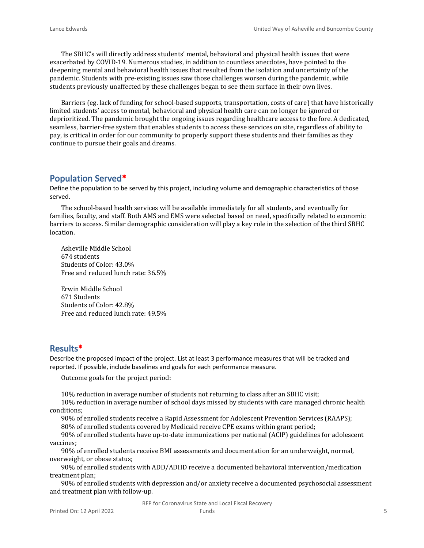The SBHC's will directly address students' mental, behavioral and physical health issues that were exacerbated by COVID-19. Numerous studies, in addition to countless anecdotes, have pointed to the deepening mental and behavioral health issues that resulted from the isolation and uncertainty of the pandemic. Students with pre-existing issues saw those challenges worsen during the pandemic, while students previously unaffected by these challenges began to see them surface in their own lives.

Barriers (eg. lack of funding for school-based supports, transportation, costs of care) that have historically limited students' access to mental, behavioral and physical health care can no longer be ignored or deprioritized. The pandemic brought the ongoing issues regarding healthcare access to the fore. A dedicated, seamless, barrier-free system that enables students to access these services on site, regardless of ability to pay, is critical in order for our community to properly support these students and their families as they continue to pursue their goals and dreams.

#### **Population Served\***

Define the population to be served by this project, including volume and demographic characteristics of those served.

The school-based health services will be available immediately for all students, and eventually for families, faculty, and staff. Both AMS and EMS were selected based on need, specifically related to economic barriers to access. Similar demographic consideration will play a key role in the selection of the third SBHC location.

Asheville Middle School 674 students Students of Color: 43.0% Free and reduced lunch rate: 36.5%

Erwin Middle School 671 Students Students of Color: 42.8% Free and reduced lunch rate: 49.5%

#### **Results\***

Describe the proposed impact of the project. List at least 3 performance measures that will be tracked and reported. If possible, include baselines and goals for each performance measure.

Outcome goals for the project period:

10% reduction in average number of students not returning to class after an SBHC visit;

10% reduction in average number of school days missed by students with care managed chronic health conditions;

90% of enrolled students receive a Rapid Assessment for Adolescent Prevention Services (RAAPS);

80% of enrolled students covered by Medicaid receive CPE exams within grant period;

90% of enrolled students have up-to-date immunizations per national (ACIP) guidelines for adolescent vaccines;

90% of enrolled students receive BMI assessments and documentation for an underweight, normal, overweight, or obese status;

90% of enrolled students with ADD/ADHD receive a documented behavioral intervention/medication treatment plan;

90% of enrolled students with depression and/or anxiety receive a documented psychosocial assessment and treatment plan with follow-up.

RFP for Coronavirus State and Local Fiscal Recovery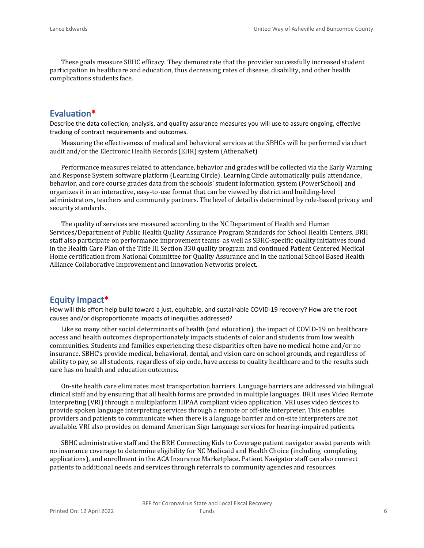These goals measure SBHC efficacy. They demonstrate that the provider successfully increased student participation in healthcare and education, thus decreasing rates of disease, disability, and other health complications students face.

## **Evaluation\***

Describe the data collection, analysis, and quality assurance measures you will use to assure ongoing, effective tracking of contract requirements and outcomes.

Measuring the effectiveness of medical and behavioral services at the SBHCs will be performed via chart audit and/or the Electronic Health Records (EHR) system (AthenaNet)

Performance measures related to attendance, behavior and grades will be collected via the Early Warning and Response System software platform (Learning Circle). Learning Circle automatically pulls attendance, behavior, and core course grades data from the schools' student information system (PowerSchool) and organizes it in an interactive, easy-to-use format that can be viewed by district and building-level administrators, teachers and community partners. The level of detail is determined by role-based privacy and security standards.

The quality of services are measured according to the NC Department of Health and Human Services/Department of Public Health Quality Assurance Program Standards for School Health Centers. BRH staff also participate on performance improvement teams as well as SBHC-specific quality initiatives found in the Health Care Plan of the Title III Section 330 quality program and continued Patient Centered Medical Home certification from National Committee for Quality Assurance and in the national School Based Health Alliance Collaborative Improvement and Innovation Networks project.

## **Equity Impact\***

How will this effort help build toward a just, equitable, and sustainable COVID-19 recovery? How are the root causes and/or disproportionate impacts of inequities addressed?

Like so many other social determinants of health (and education), the impact of COVID-19 on healthcare access and health outcomes disproportionately impacts students of color and students from low wealth communities. Students and families experiencing these disparities often have no medical home and/or no insurance. SBHC's provide medical, behavioral, dental, and vision care on school grounds, and regardless of ability to pay, so all students, regardless of zip code, have access to quality healthcare and to the results such care has on health and education outcomes.

On-site health care eliminates most transportation barriers. Language barriers are addressed via bilingual clinical staff and by ensuring that all health forms are provided in multiple languages. BRH uses Video Remote Interpreting (VRI) through a multiplatform HIPAA compliant video application. VRI uses video devices to provide spoken language interpreting services through a remote or off-site interpreter. This enables providers and patients to communicate when there is a language barrier and on-site interpreters are not available. VRI also provides on demand American Sign Language services for hearing-impaired patients.

SBHC administrative staff and the BRH Connecting Kids to Coverage patient navigator assist parents with no insurance coverage to determine eligibility for NC Medicaid and Health Choice (including completing applications), and enrollment in the ACA Insurance Marketplace. Patient Navigator staff can also connect patients to additional needs and services through referrals to community agencies and resources.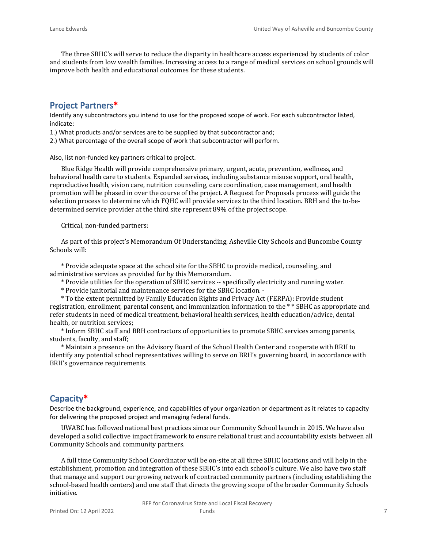The three SBHC's will serve to reduce the disparity in healthcare access experienced by students of color and students from low wealth families. Increasing access to a range of medical services on school grounds will improve both health and educational outcomes for these students.

## **Project Partners\***

Identify any subcontractors you intend to use for the proposed scope of work. For each subcontractor listed, indicate:

1.) What products and/or services are to be supplied by that subcontractor and;

2.) What percentage of the overall scope of work that subcontractor will perform.

Also, list non-funded key partners critical to project.

Blue Ridge Health will provide comprehensive primary, urgent, acute, prevention, wellness, and behavioral health care to students. Expanded services, including substance misuse support, oral health, reproductive health, vision care, nutrition counseling, care coordination, case management, and health promotion will be phased in over the course of the project. A Request for Proposals process will guide the selection process to determine which FQHC will provide services to the third location. BRH and the to-bedetermined service provider at the third site represent 89% of the project scope.

Critical, non-funded partners:

As part of this project's Memorandum Of Understanding, Asheville City Schools and Buncombe County Schools will:

\* Provide adequate space at the school site for the SBHC to provide medical, counseling, and administrative services as provided for by this Memorandum.

- \* Provide utilities for the operation of SBHC services -- specifically electricity and running water.
- \* Provide janitorial and maintenance services for the SBHC location. -

\* To the extent permitted by Family Education Rights and Privacy Act (FERPA): Provide student registration, enrollment, parental consent, and immunization information to the \* \* SBHC as appropriate and refer students in need of medical treatment, behavioral health services, health education/advice, dental health, or nutrition services;

\* Inform SBHC staff and BRH contractors of opportunities to promote SBHC services among parents, students, faculty, and staff;

\* Maintain a presence on the Advisory Board of the School Health Center and cooperate with BRH to identify any potential school representatives willing to serve on BRH's governing board, in accordance with BRH's governance requirements.

## **Capacity\***

Describe the background, experience, and capabilities of your organization or department as it relates to capacity for delivering the proposed project and managing federal funds.

UWABC has followed national best practices since our Community School launch in 2015. We have also developed a solid collective impact framework to ensure relational trust and accountability exists between all Community Schools and community partners.

A full time Community School Coordinator will be on-site at all three SBHC locations and will help in the establishment, promotion and integration of these SBHC's into each school's culture. We also have two staff that manage and support our growing network of contracted community partners (including establishing the school-based health centers) and one staff that directs the growing scope of the broader Community Schools initiative.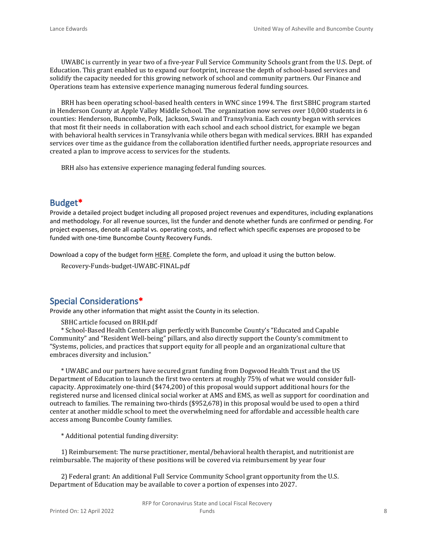UWABC is currently in year two of a five-year Full Service Community Schools grant from the U.S. Dept. of Education. This grant enabled us to expand our footprint, increase the depth of school-based services and solidify the capacity needed for this growing network of school and community partners. Our Finance and Operations team has extensive experience managing numerous federal funding sources.

BRH has been operating school-based health centers in WNC since 1994. The first SBHC program started in Henderson County at Apple Valley Middle School. The organization now serves over 10,000 students in 6 counties: Henderson, Buncombe, Polk, Jackson, Swain and Transylvania. Each county began with services that most fit their needs in collaboration with each school and each school district, for example we began with behavioral health services in Transylvania while others began with medical services. BRH has expanded services over time as the guidance from the collaboration identified further needs, appropriate resources and created a plan to improve access to services for the students.

BRH also has extensive experience managing federal funding sources.

### **Budget\***

Provide a detailed project budget including all proposed project revenues and expenditures, including explanations and methodology. For all revenue sources, list the funder and denote whether funds are confirmed or pending. For project expenses, denote all capital vs. operating costs, and reflect which specific expenses are proposed to be funded with one-time Buncombe County Recovery Funds.

Download a copy of the budget form [HERE](https://buncombecounty.org/common/community-investment/grants/early-childhood-education/Recovery-Funds-budget-template.xlsx). Complete the form, and upload it using the button below.

Recovery-Funds-budget-UWABC-FINAL.pdf

## **Special Considerations\***

Provide any other information that might assist the County in its selection.

SBHC article focused on BRH.pdf

\* School-Based Health Centers align perfectly with Buncombe County's "Educated and Capable Community" and "Resident Well-being" pillars, and also directly support the County's commitment to "Systems, policies, and practices that support equity for all people and an organizational culture that embraces diversity and inclusion."

\* UWABC and our partners have secured grant funding from Dogwood Health Trust and the US Department of Education to launch the first two centers at roughly 75% of what we would consider fullcapacity. Approximately one-third (\$474,200) of this proposal would support additional hours for the registered nurse and licensed clinical social worker at AMS and EMS, as well as support for coordination and outreach to families. The remaining two-thirds (\$952,678) in this proposal would be used to open a third center at another middle school to meet the overwhelming need for affordable and accessible health care access among Buncombe County families.

\* Additional potential funding diversity:

1) Reimbursement: The nurse practitioner, mental/behavioral health therapist, and nutritionist are reimbursable. The majority of these positions will be covered via reimbursement by year four

2) Federal grant: An additional Full Service Community School grant opportunity from the U.S. Department of Education may be available to cover a portion of expenses into 2027.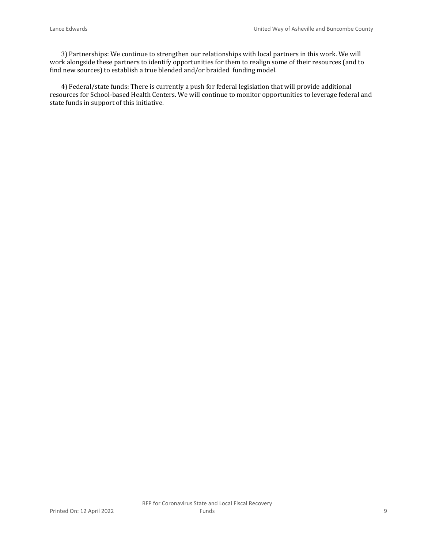3) Partnerships: We continue to strengthen our relationships with local partners in this work. We will work alongside these partners to identify opportunities for them to realign some of their resources (and to find new sources) to establish a true blended and/or braided funding model.

4) Federal/state funds: There is currently a push for federal legislation that will provide additional resources for School-based Health Centers. We will continue to monitor opportunities to leverage federal and state funds in support of this initiative.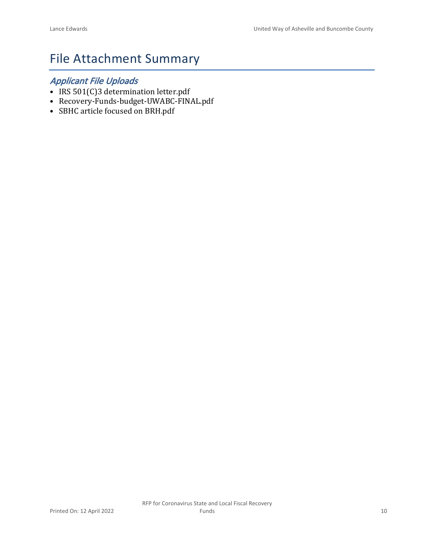## File Attachment Summary

## *Applicant File Uploads*

- IRS 501(C)3 determination letter.pdf
- Recovery-Funds-budget-UWABC-FINAL.pdf
- SBHC article focused on BRH.pdf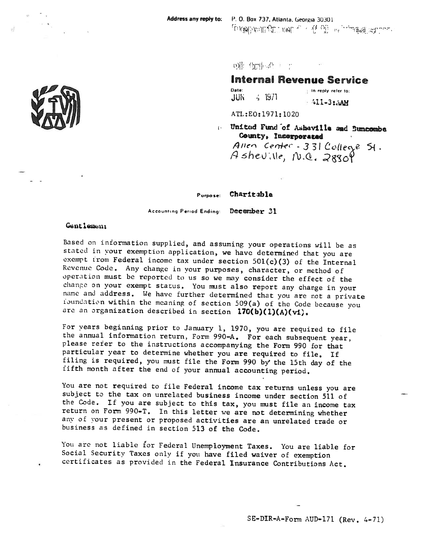D能 \$mleft ( )

### **Internal Revenue Service**

Date: th reply refer to:  $4.1971$ **JUN**  $+411-3$ :  $\Delta$ AM

ATL:E0:1971:1020

Wnited Fund of Ashaville and Buncombe County, Incorporated

Allen Center - 331 College St.  $A$ sheville,  $NQ$ ,  $28309$ 

Charitable Purpose:

Accounting Period Ending: December 31

#### Gentlemen:

Based on information supplied, and assuming your operations will be as stated in your exemption application, we have determined that you are exempt from Federal income tax under section 501(c)(3) of the Internal Revenue Code. Any change in your purposes, character, or method of operation must be reported to us so we may consider the effect of the change on your exempt status. You must also report any change in your name and address. We have further determined that you are not a private foundation within the meaning of section 509(a) of the Code because you are an organization described in section 170(b)(1)(A)(vi).

For years beginning prior to January 1, 1970, you are required to file the annual information return, Form 990=A. For each subsequent year, please refer to the instructions accompanying the Form 990 for that particular year to determine whether you are required to file. If filing is required, you must file the Form 990 by the 15th day of the fifth month after the end of your annual accounting period.

You are not required to file Federal income tax returns unless you are subject to the tax on unrelated business income under section 511 of the Code. If you are subject to this tax, you must file an income tax return on Form 990-T. In this letter we are not determining whether any of your present or proposed activities are an unrelated trade or business as defined in section 513 of the Code.

You are not liable for Federal Unemployment Taxes. You are liable for Social Security Taxes only if you have filed waiver of exemption certificates as provided in the Federal Insurance Contributions Act.



SE-DIR-A-Form AUD-171 (Rev.  $4-71$ )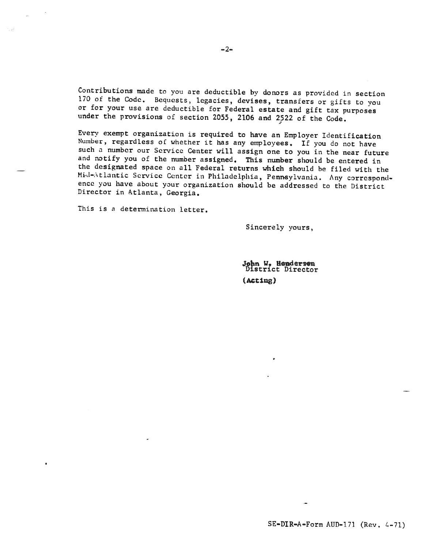Contributions made to you are deductible by donors as provided in section 170 of the Code. Bequests, legacies, devises, transfers or gifts to you or for your use are deductible for Federal estate and gift tax purposes under the provisions of section 2055, 2106 and 2522 of the Code.

Every exempt organization is required to have an Employer Identification Number, regardless of whether it has any employees. If you do not have such a number our Service Center will assign one to you in the near future and notify you of the number assigned. This number should be entered in the designated space on all Federal returns which should be filed with the Mid-Atlantic Service Center in Philadelphia, Pennsylvania. Any correspondence you have about your organization should be addressed to the District Director in Atlanta, Georgia.

This is a determination letter.

trust

Sincerely yours,

John W. Honderson<br>District Director (Acting)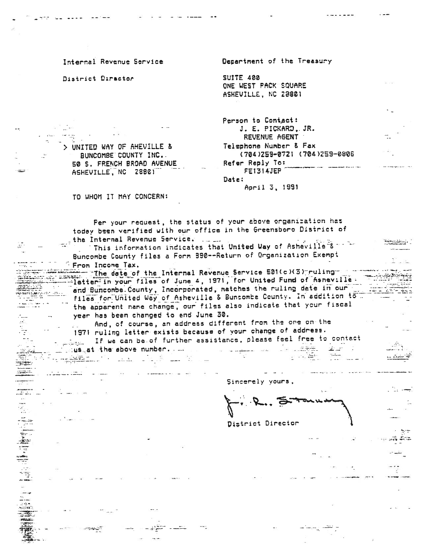Internal Revenue Service

District Director

Department of the Treasury

**SUITE 400** ONE WEST PACK SQUARE ASHEVILLE, NC 28801

Person to Contact: J. E. PICKARD, JR. REVENUE AGENT Telephone Number & Fax (704)259-0721 (704)259-0806 Refer Reply To: FE1314JEP Date:

April 3, 1991

TO WHOM IT MAY CONCERN:

> UNITED WAY OF AHEVILLE &

ASHEVILLE, NC 28801

a a de la componentación de la componentación de la componentación de la componentación de la componentación d<br>En la componentación de la componentación de la componentación de la componentación de la componentación de la

**START AND ARTICLE CONTROL** 

۔۔۔۔۔۔۔۔<br>۔۔۔ : اللہ

1919年1月1日

BUNCOMBE COUNTY INC. 50 S. FRENCH BROAD AVENUE

Fer your request, the status of your above organization has today been verified with our office in the Greensboro District of the Internal Revenue Service.

This information indicates that United Way of Asheville 8 - 1 Buncombe County files a Form 390--Return of Organization Exempt From Income Tax.

The date of the Internal Revenue Service 501(c)(3) ruling letter in your files of June 4, 1971, for United Fund of Asneville. Calle al<del>lanesi</del>d and Buncombe County, Incorporated, matches the ruling date in our files for United Way of Asheville & Buncombe County. In addition to ... the apparent name change, our files also indicate that your fiscal year has been changed to end June 30.

And, of course, an address different from the one on-the Jan 19 1971 ruling letter exists because of your change of address. If we can be of further assistance, please feel free to contact سے<br>اللہ نظا 

13 L. 4

Sincerely yours,

 $7 -$ 

St ⊶

..ಕೆ. ಶರಕ

ant t

District Director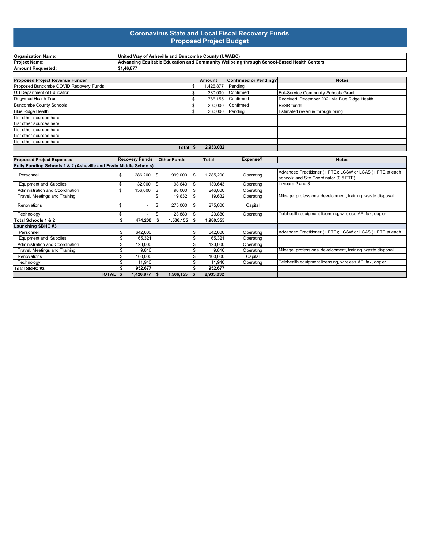#### **Coronavirus State and Local Fiscal Recovery Funds Proposed Project Budget**

| <b>Organization Name:</b>                                        |    | United Way of Asheville and Buncombe County (UWABC)                                       |            |           |         |                              |                                               |                                                                                                       |  |  |  |  |  |  |
|------------------------------------------------------------------|----|-------------------------------------------------------------------------------------------|------------|-----------|---------|------------------------------|-----------------------------------------------|-------------------------------------------------------------------------------------------------------|--|--|--|--|--|--|
| <b>Project Name:</b>                                             |    | Advancing Equitable Education and Community Wellbeing through School-Based Health Centers |            |           |         |                              |                                               |                                                                                                       |  |  |  |  |  |  |
| <b>Amount Requested:</b>                                         |    | \$1.46.877                                                                                |            |           |         |                              |                                               |                                                                                                       |  |  |  |  |  |  |
|                                                                  |    |                                                                                           |            |           |         |                              |                                               |                                                                                                       |  |  |  |  |  |  |
| <b>Proposed Project Revenue Funder</b>                           |    |                                                                                           |            |           | Amount  | <b>Confirmed or Pending?</b> | <b>Notes</b>                                  |                                                                                                       |  |  |  |  |  |  |
| Proposed Buncombe COVID Recovery Funds                           |    |                                                                                           |            | \$        | 426,877 | Pending                      |                                               |                                                                                                       |  |  |  |  |  |  |
| US Department of Education                                       |    |                                                                                           |            | \$        | 280,000 | Confirmed                    | Full-Service Community Schools Grant          |                                                                                                       |  |  |  |  |  |  |
| Dogwood Health Trust                                             |    |                                                                                           |            | \$        | 766,155 | Confirmed                    | Received, December 2021 via Blue Ridge Health |                                                                                                       |  |  |  |  |  |  |
| <b>Buncombe County Schools</b>                                   |    |                                                                                           |            | \$        | 200,000 | Confirmed                    | <b>ESSR</b> funds                             |                                                                                                       |  |  |  |  |  |  |
| <b>Blue Ridge Health</b>                                         |    |                                                                                           |            | \$        | 260,000 | Pending                      | Estimated revenue through billing             |                                                                                                       |  |  |  |  |  |  |
| List other sources here                                          |    |                                                                                           |            |           |         |                              |                                               |                                                                                                       |  |  |  |  |  |  |
| List other sources here                                          |    |                                                                                           |            |           |         |                              |                                               |                                                                                                       |  |  |  |  |  |  |
| List other sources here                                          |    |                                                                                           |            |           |         |                              |                                               |                                                                                                       |  |  |  |  |  |  |
| List other sources here                                          |    |                                                                                           |            |           |         |                              |                                               |                                                                                                       |  |  |  |  |  |  |
| List other sources here                                          |    |                                                                                           |            |           |         |                              |                                               |                                                                                                       |  |  |  |  |  |  |
|                                                                  |    |                                                                                           |            | Total \$  |         | 2,933,032                    |                                               |                                                                                                       |  |  |  |  |  |  |
|                                                                  |    |                                                                                           |            |           |         |                              |                                               |                                                                                                       |  |  |  |  |  |  |
| <b>Proposed Project Expenses</b>                                 |    | <b>Recovery Funds</b><br><b>Other Funds</b>                                               |            |           |         | Total                        | Expense?                                      | <b>Notes</b>                                                                                          |  |  |  |  |  |  |
| Fully Funding Schools 1 & 2 (Asheville and Erwin Middle Schools) |    |                                                                                           |            |           |         |                              |                                               |                                                                                                       |  |  |  |  |  |  |
| Personnel                                                        | \$ | 286,200                                                                                   | <b>S</b>   | 999,000   | \$      | 1,285,200                    | Operating                                     | Advanced Practitioner (1 FTE); LCSW or LCAS (1 FTE at each<br>school); and Site Coordinator (0.5 FTE) |  |  |  |  |  |  |
| <b>Equipment and Supplies</b>                                    | \$ | 32,000                                                                                    | <b>S</b>   | 98.643    | \$      | 130,643                      | Operating                                     | in years 2 and 3                                                                                      |  |  |  |  |  |  |
| Administration and Coordination                                  | \$ | 156.000                                                                                   | $\sqrt{3}$ | 90.000    | \$      | 246.000                      | Operating                                     |                                                                                                       |  |  |  |  |  |  |
| Travel, Meetings and Training                                    |    |                                                                                           | \$         | 19,632    | \$      | 19,632                       | Operating                                     | Mileage, professional development, training, waste disposal                                           |  |  |  |  |  |  |
| Renovations                                                      | \$ |                                                                                           | \$         | 275,000   | \$      | 275,000                      | Capital                                       |                                                                                                       |  |  |  |  |  |  |
| Technology                                                       | \$ |                                                                                           | \$         | 23,880    | \$      | 23,880                       | Operating                                     | Telehealth equipment licensing, wireless AP, fax, copier                                              |  |  |  |  |  |  |
| Total Schools 1 & 2                                              | \$ | 474.200                                                                                   | \$         | 1.506.155 | - \$    | 1.980.355                    |                                               |                                                                                                       |  |  |  |  |  |  |

| Technology                      |                |           | 23.880 1  | 23,880    | Operating | Telehealth equipment licensing, wireless AP, fax, copier    |
|---------------------------------|----------------|-----------|-----------|-----------|-----------|-------------------------------------------------------------|
| Total Schools 1 & 2             |                | 474.200   | 1.506.155 | 1,980,355 |           |                                                             |
| <b>Launching SBHC #3</b>        |                |           |           |           |           |                                                             |
| Personnel                       |                | 642.600   |           | 642.600   | Operating | Advanced Practitioner (1 FTE); LCSW or LCAS (1 FTE at each  |
| Equipment and Supplies          |                | 65.321    |           | 65,321    | Operating |                                                             |
| Administration and Coordination |                | 123.000   |           | 123.000   | Operating |                                                             |
| Travel, Meetings and Training   |                | 9.816     |           | 9.816     | Operating | Mileage, professional development, training, waste disposal |
| Renovations                     |                | 100.000   |           | 100.000   | Capital   |                                                             |
| Technology                      |                | 11.940    |           | 11.940    | Operating | Telehealth equipment licensing, wireless AP, fax, copier    |
| Total SBHC #3                   |                | 952.677   |           | 952.677   |           |                                                             |
|                                 | <b>TOTAL</b> S | 1,426,877 | 1,506,155 | 2,933,032 |           |                                                             |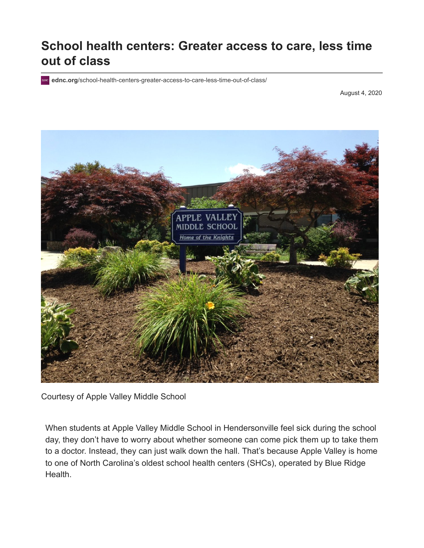## **School health centers: Greater access to care, less time out of class**

**ednc.org**[/school-health-centers-greater-access-to-care-less-time-out-of-class/](https://www.ednc.org/school-health-centers-greater-access-to-care-less-time-out-of-class/)

August 4, 2020



Courtesy of Apple Valley Middle School

When students at Apple Valley Middle School in Hendersonville feel sick during the school day, they don't have to worry about whether someone can come pick them up to take them to a doctor. Instead, they can just walk down the hall. That's because Apple Valley is home [to one of North Carolina's oldest school health centers \(SHCs\), operated by Blue Ridge](https://www.brchs.com/) Health.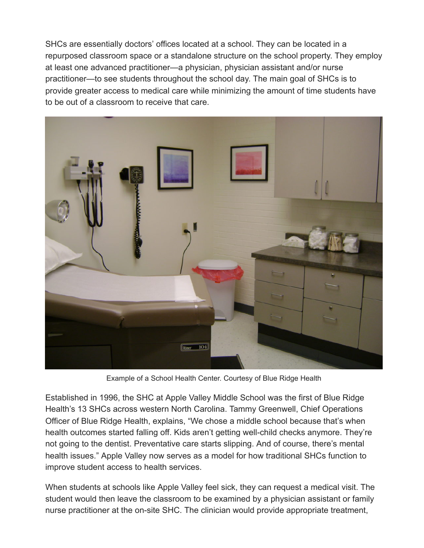SHCs are essentially doctors' offices located at a school. They can be located in a repurposed classroom space or a standalone structure on the school property. They employ at least one advanced practitioner—a physician, physician assistant and/or nurse practitioner—to see students throughout the school day. The main goal of SHCs is to provide greater access to medical care while minimizing the amount of time students have to be out of a classroom to receive that care.



Example of a School Health Center. Courtesy of Blue Ridge Health

Established in 1996, the SHC at Apple Valley Middle School was the first of Blue Ridge Health's 13 SHCs across western North Carolina. Tammy Greenwell, Chief Operations Officer of Blue Ridge Health, explains, "We chose a middle school because that's when health outcomes started falling off. Kids aren't getting well-child checks anymore. They're not going to the dentist. Preventative care starts slipping. And of course, there's mental health issues." Apple Valley now serves as a model for how traditional SHCs function to improve student access to health services.

When students at schools like Apple Valley feel sick, they can request a medical visit. The student would then leave the classroom to be examined by a physician assistant or family nurse practitioner at the on-site SHC. The clinician would provide appropriate treatment,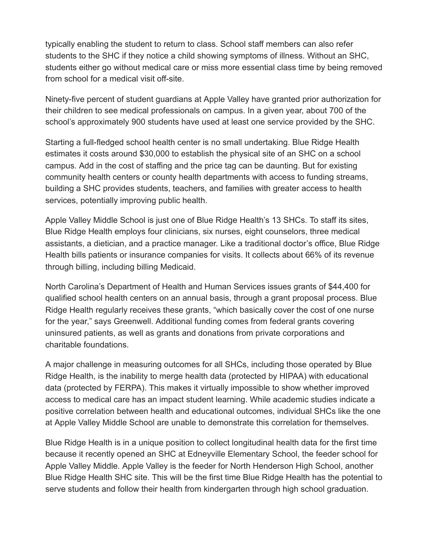typically enabling the student to return to class. School staff members can also refer students to the SHC if they notice a child showing symptoms of illness. Without an SHC, students either go without medical care or miss more essential class time by being removed from school for a medical visit off-site.

Ninety-five percent of student guardians at Apple Valley have granted prior authorization for their children to see medical professionals on campus. In a given year, about 700 of the school's approximately 900 students have used at least one service provided by the SHC.

Starting a full-fledged school health center is no small undertaking. Blue Ridge Health estimates it costs around \$30,000 to establish the physical site of an SHC on a school campus. Add in the cost of staffing and the price tag can be daunting. But for existing community health centers or county health departments with access to funding streams, building a SHC provides students, teachers, and families with greater access to health services, potentially improving public health.

Apple Valley Middle School is just one of Blue Ridge Health's 13 SHCs. To staff its sites, Blue Ridge Health employs four clinicians, six nurses, eight counselors, three medical assistants, a dietician, and a practice manager. Like a traditional doctor's office, Blue Ridge Health bills patients or insurance companies for visits. It collects about 66% of its revenue through billing, including billing Medicaid.

North Carolina's Department of Health and Human Services issues grants of \$44,400 for qualified school health centers on an annual basis, through a grant proposal process. Blue Ridge Health regularly receives these grants, "which basically cover the cost of one nurse for the year," says Greenwell. Additional funding comes from federal grants covering uninsured patients, as well as grants and donations from private corporations and charitable foundations.

A major challenge in measuring outcomes for all SHCs, including those operated by Blue Ridge Health, is the inability to merge health data ([protected by HIPAA\)](https://www.hhs.gov/hipaa/for-individuals/guidance-materials-for-consumers/index.html) with educational data [\(protected by FERPA\)](https://www2.ed.gov/policy/gen/guid/fpco/ferpa/index.html). This makes it virtually impossible to show whether improved access to medical care has an impact student learning. While academic studies indicate a positive correlation between health and educational outcomes, individual SHCs like the one at Apple Valley Middle School are unable to demonstrate this correlation for themselves.

Blue Ridge Health is in a unique position to collect longitudinal health data for the first time because it recently opened an SHC at Edneyville Elementary School, the feeder school for Apple Valley Middle. Apple Valley is the feeder for North Henderson High School, another Blue Ridge Health SHC site. This will be the first time Blue Ridge Health has the potential to serve students and follow their health from kindergarten through high school graduation.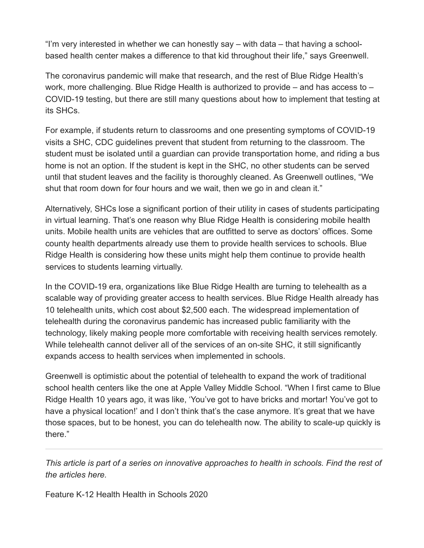"I'm very interested in whether we can honestly say – with data – that having a schoolbased health center makes a difference to that kid throughout their life," says Greenwell.

The coronavirus pandemic will make that research, and the rest of Blue Ridge Health's work, more challenging. Blue Ridge Health is authorized to provide – and has access to – COVID-19 testing, but there are still many questions about how to implement that testing at its SHCs.

For example, if students return to classrooms and one presenting symptoms of COVID-19 visits a SHC, [CDC guidelines](https://www.cdc.gov/coronavirus/2019-ncov/community/schools-childcare/index.html) prevent that student from returning to the classroom. The student must be isolated until a guardian can provide transportation home, and riding a bus home is not an option. If the student is kept in the SHC, no other students can be served until that student leaves and the facility is thoroughly cleaned. As Greenwell outlines, "We shut that room down for four hours and we wait, then we go in and clean it."

Alternatively, SHCs lose a significant portion of their utility in cases of students participating in virtual learning. That's one reason why Blue Ridge Health is considering mobile health units. Mobile health units are vehicles that are outfitted to serve as doctors' offices. Some county health departments [already use them](https://www.ncha.org/2019/08/mobile-health-programs-bring-care-to-north-carolina-communities/) to provide health services to schools. Blue Ridge Health is considering how these units might help them continue to provide health services to students learning virtually.

In the COVID-19 era, organizations like Blue Ridge Health are turning to telehealth as a scalable way of providing greater access to health services. Blue Ridge Health already has [10 telehealth units, which cost about \\$2,500 each. The widespread implementation of](https://khn.org/news/telemedicine-surges-fueled-by-coronavirus-fears-and-shift-in-payment-rules/) telehealth during the coronavirus pandemic has increased public familiarity with the technology, likely making people more comfortable with receiving health services remotely. While telehealth cannot deliver all of the services of an on-site SHC, it still significantly expands access to health services when implemented in schools.

Greenwell is optimistic about the potential of telehealth to expand the work of traditional school health centers like the one at Apple Valley Middle School. "When I first came to Blue Ridge Health 10 years ago, it was like, 'You've got to have bricks and mortar! You've got to have a physical location!' and I don't think that's the case anymore. It's great that we have those spaces, but to be honest, you can do telehealth now. The ability to scale-up quickly is there."

*[This article is part of a series on innovative approaches to health in schools.](https://www.ednc.org/category/health/health-in-schools-2020/) Find the rest of the articles here.*

[Feature](https://www.ednc.org/appearance/featured/) [K-12](https://www.ednc.org/category/k-12/) [Health](https://www.ednc.org/category/health/) [Health in Schools 2020](https://www.ednc.org/category/health/health-in-schools-2020/)